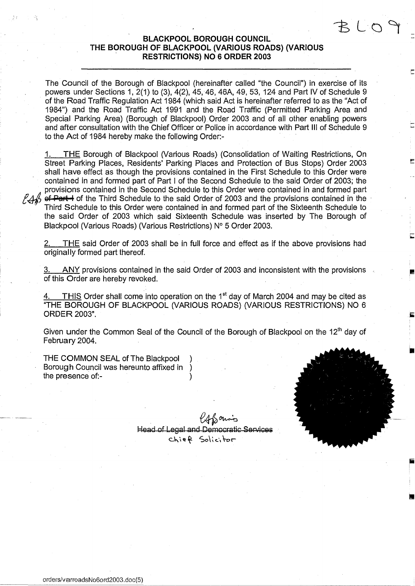# **BLACKPOOL BOROUGH COUNCIL THE BOROUGH OF BLACKPOOL (VARIOUS ROADS) (VARIOUS RESTRICTIONS) NO 6 ORDER 2003**

The Council of the Borough of Blackpool (hereinafter called "the Council") in exercise of its powers under Sections 1, 2(1) to (3), 4(2), 45, 46, 46A, 49, 53, 124 and Part IV of Schedule 9 of the Road Traffic Regulation Act 1 984 (which said Act is hereinafter referred to as the "Act of 1984") and the Road Traffic Act 1991 and the Road Traffic (Permitted Parking Area and Special Parking Area) (Borough of Blackpool) Order 2003 and of all other enabling powers and after consultation with the Chief Officer or Police in accordance with Part III of Schedule 9 to the Act of 1984 hereby make the following Order: -

1. THE Borough of Blackpool (Various Roads) (Consolidation of Waiting Restrictions, On Street Parking Places, Residents' Parking Places and Protection of Bus Stops) Order 2003 shall have effect as though the provisions contained in the First Schedule to this Order were contained in and formed part of Part I of the Second Schedule to the said Order of 2003; the provisions contained in the Second Schedule to this Order were contained in and formed part  $246$  of Part -1 of the Third Schedule to the said Order of 2003 and the provisions contained in the Third Schedule to this Order were contained in and formed part of the Sixteenth Schedule to the said Order of 2003 which said Sixteenth Schedule was inserted by The Borough of Blackpool (Various Roads) (Various Restrictions) N° 5 Order 2003.

2. THE said Order of 2003 shall be in full force and effect as if the above provisions had originally formed part thereof.

3. ANY provisions contained in the said Order of 2003 and inconsistent with the provisions of this Order are hereby revoked.

THIS Order shall come into operation on the 1<sup>st</sup> day of March 2004 and may be cited as "THE BOROUGH OF BLACKPOOL (VARIOUS ROADS) (VARIOUS RESTRICTIONS) NO 6 ORDER 2003".

Given under the Common Seal of the Council of the Borough of Blackpool on the 12<sup>th</sup> day of February 2004.

THE COMMON SEAL of The Blackpool Borough Council was hereunto affixed in ) the presence of:-



 $R$  (  $\cap$ 

 $\mathscr{U}$  form's Head of Legal and Democratic Services Chief Solicitor